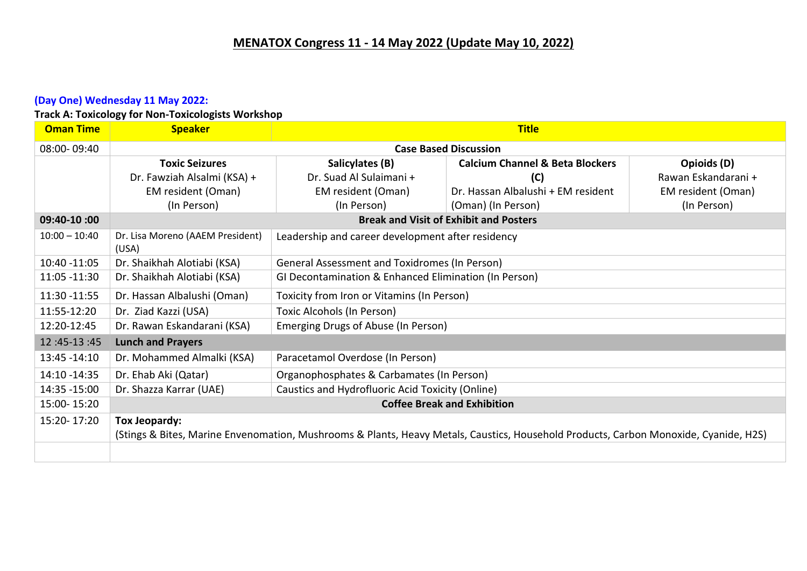#### **(Day One) Wednesday 11 May 2022:**

**Track A: Toxicology for Non-Toxicologists Workshop**

| <b>Oman Time</b> | <b>Speaker</b>                                                                                                                       |                                                       | <b>Title</b>                                  |                     |
|------------------|--------------------------------------------------------------------------------------------------------------------------------------|-------------------------------------------------------|-----------------------------------------------|---------------------|
| 08:00-09:40      | <b>Case Based Discussion</b>                                                                                                         |                                                       |                                               |                     |
|                  | <b>Toxic Seizures</b>                                                                                                                | Salicylates (B)                                       | <b>Calcium Channel &amp; Beta Blockers</b>    | Opioids (D)         |
|                  | Dr. Fawziah Alsalmi (KSA) +                                                                                                          | Dr. Suad Al Sulaimani +                               | (C)                                           | Rawan Eskandarani + |
|                  | EM resident (Oman)                                                                                                                   | EM resident (Oman)                                    | Dr. Hassan Albalushi + EM resident            | EM resident (Oman)  |
|                  | (In Person)                                                                                                                          | (In Person)                                           | (Oman) (In Person)                            | (In Person)         |
| 09:40-10:00      |                                                                                                                                      |                                                       | <b>Break and Visit of Exhibit and Posters</b> |                     |
| $10:00 - 10:40$  | Dr. Lisa Moreno (AAEM President)<br>(USA)                                                                                            | Leadership and career development after residency     |                                               |                     |
| 10:40 -11:05     | Dr. Shaikhah Alotiabi (KSA)                                                                                                          | General Assessment and Toxidromes (In Person)         |                                               |                     |
| 11:05 -11:30     | Dr. Shaikhah Alotiabi (KSA)                                                                                                          | GI Decontamination & Enhanced Elimination (In Person) |                                               |                     |
| 11:30 - 11:55    | Dr. Hassan Albalushi (Oman)                                                                                                          | Toxicity from Iron or Vitamins (In Person)            |                                               |                     |
| 11:55-12:20      | Dr. Ziad Kazzi (USA)                                                                                                                 | Toxic Alcohols (In Person)                            |                                               |                     |
| 12:20-12:45      | Dr. Rawan Eskandarani (KSA)                                                                                                          | Emerging Drugs of Abuse (In Person)                   |                                               |                     |
| 12:45-13:45      | <b>Lunch and Prayers</b>                                                                                                             |                                                       |                                               |                     |
| 13:45 - 14:10    | Dr. Mohammed Almalki (KSA)                                                                                                           | Paracetamol Overdose (In Person)                      |                                               |                     |
| 14:10 -14:35     | Dr. Ehab Aki (Qatar)                                                                                                                 | Organophosphates & Carbamates (In Person)             |                                               |                     |
| 14:35 - 15:00    | Dr. Shazza Karrar (UAE)                                                                                                              | Caustics and Hydrofluoric Acid Toxicity (Online)      |                                               |                     |
| 15:00-15:20      | <b>Coffee Break and Exhibition</b>                                                                                                   |                                                       |                                               |                     |
| 15:20-17:20      | Tox Jeopardy:                                                                                                                        |                                                       |                                               |                     |
|                  | (Stings & Bites, Marine Envenomation, Mushrooms & Plants, Heavy Metals, Caustics, Household Products, Carbon Monoxide, Cyanide, H2S) |                                                       |                                               |                     |
|                  |                                                                                                                                      |                                                       |                                               |                     |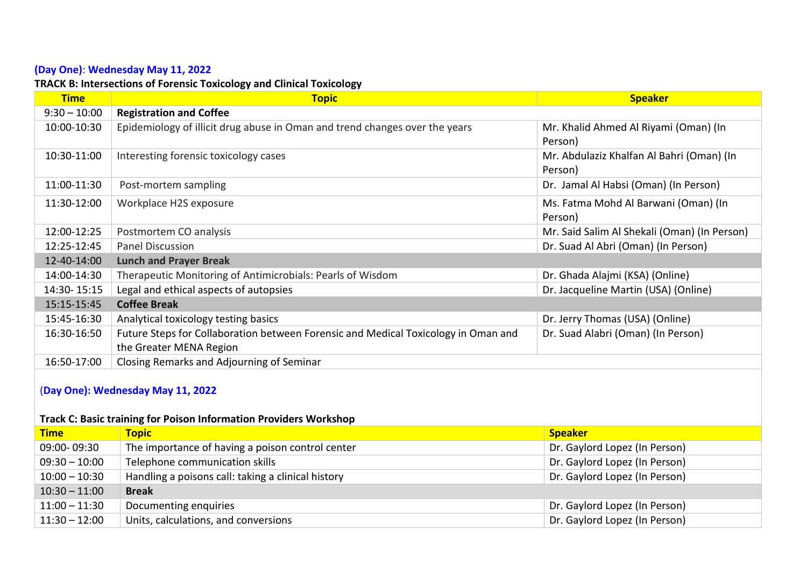### **(Day One)**: **Wednesday May 11, 2022**

### **TRACK B: Intersections of Forensic Toxicology and Clinical Toxicology**

| <b>Time</b>                       | <b>Topic</b>                                                                       | <b>Speaker</b>                               |  |
|-----------------------------------|------------------------------------------------------------------------------------|----------------------------------------------|--|
| $9:30 - 10:00$                    | <b>Registration and Coffee</b>                                                     |                                              |  |
| 10:00-10:30                       | Epidemiology of illicit drug abuse in Oman and trend changes over the years        | Mr. Khalid Ahmed Al Riyami (Oman) (In        |  |
|                                   |                                                                                    | Person)                                      |  |
| 10:30-11:00                       | Interesting forensic toxicology cases                                              | Mr. Abdulaziz Khalfan Al Bahri (Oman) (In    |  |
|                                   |                                                                                    | Person)                                      |  |
| 11:00-11:30                       | Post-mortem sampling                                                               | Dr. Jamal Al Habsi (Oman) (In Person)        |  |
| 11:30-12:00                       | Workplace H2S exposure                                                             | Ms. Fatma Mohd Al Barwani (Oman) (In         |  |
|                                   |                                                                                    | Person)                                      |  |
| 12:00-12:25                       | Postmortem CO analysis                                                             | Mr. Said Salim Al Shekali (Oman) (In Person) |  |
| 12:25-12:45                       | <b>Panel Discussion</b>                                                            | Dr. Suad Al Abri (Oman) (In Person)          |  |
| 12-40-14:00                       | <b>Lunch and Prayer Break</b>                                                      |                                              |  |
| 14:00-14:30                       | Therapeutic Monitoring of Antimicrobials: Pearls of Wisdom                         | Dr. Ghada Alajmi (KSA) (Online)              |  |
| 14:30-15:15                       | Legal and ethical aspects of autopsies                                             | Dr. Jacqueline Martin (USA) (Online)         |  |
| 15:15-15:45                       | <b>Coffee Break</b>                                                                |                                              |  |
| 15:45-16:30                       | Analytical toxicology testing basics                                               | Dr. Jerry Thomas (USA) (Online)              |  |
| 16:30-16:50                       | Future Steps for Collaboration between Forensic and Medical Toxicology in Oman and | Dr. Suad Alabri (Oman) (In Person)           |  |
|                                   | the Greater MENA Region                                                            |                                              |  |
| 16:50-17:00                       | Closing Remarks and Adjourning of Seminar                                          |                                              |  |
| (Day One): Wednesday May 11, 2022 |                                                                                    |                                              |  |
|                                   |                                                                                    |                                              |  |

### **Track C: Basic training for Poison Information Providers Workshop**

| <b>Time</b>     | <b>Topic</b>                                       | <b>Speaker</b>                |
|-----------------|----------------------------------------------------|-------------------------------|
| 09:00-09:30     | The importance of having a poison control center   | Dr. Gaylord Lopez (In Person) |
| $09:30 - 10:00$ | Telephone communication skills                     | Dr. Gaylord Lopez (In Person) |
| $10:00 - 10:30$ | Handling a poisons call: taking a clinical history | Dr. Gaylord Lopez (In Person) |
| $10:30 - 11:00$ | <b>Break</b>                                       |                               |
| $11:00 - 11:30$ | Documenting enquiries                              | Dr. Gaylord Lopez (In Person) |
| $11:30 - 12:00$ | Units, calculations, and conversions               | Dr. Gaylord Lopez (In Person) |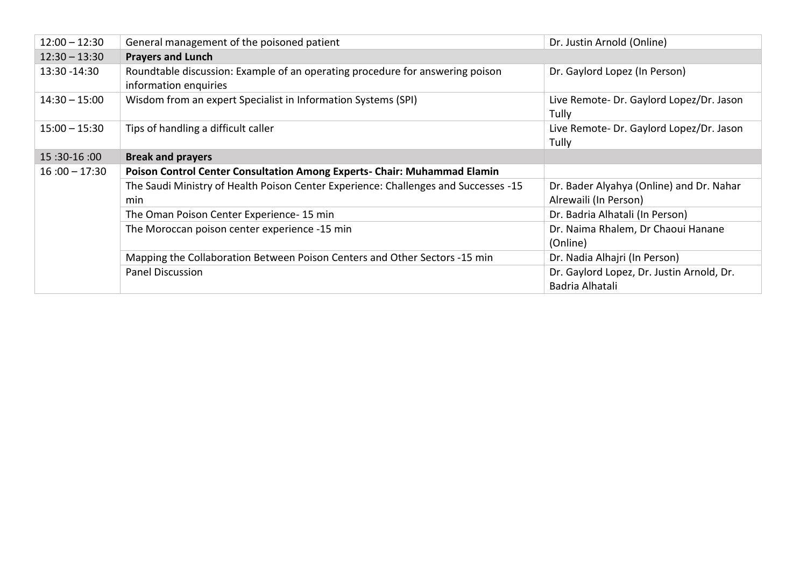| $12:00 - 12:30$ | General management of the poisoned patient                                                             | Dr. Justin Arnold (Online)                                        |  |
|-----------------|--------------------------------------------------------------------------------------------------------|-------------------------------------------------------------------|--|
| $12:30 - 13:30$ | <b>Prayers and Lunch</b>                                                                               |                                                                   |  |
| 13:30 - 14:30   | Roundtable discussion: Example of an operating procedure for answering poison<br>information enquiries | Dr. Gaylord Lopez (In Person)                                     |  |
| $14:30 - 15:00$ | Wisdom from an expert Specialist in Information Systems (SPI)                                          | Live Remote- Dr. Gaylord Lopez/Dr. Jason<br>Tully                 |  |
| $15:00 - 15:30$ | Tips of handling a difficult caller                                                                    | Live Remote- Dr. Gaylord Lopez/Dr. Jason<br>Tully                 |  |
| 15:30-16:00     | <b>Break and prayers</b>                                                                               |                                                                   |  |
| $16:00 - 17:30$ | Poison Control Center Consultation Among Experts- Chair: Muhammad Elamin                               |                                                                   |  |
|                 | The Saudi Ministry of Health Poison Center Experience: Challenges and Successes -15<br>min             | Dr. Bader Alyahya (Online) and Dr. Nahar<br>Alrewaili (In Person) |  |
|                 | The Oman Poison Center Experience-15 min                                                               | Dr. Badria Alhatali (In Person)                                   |  |
|                 | The Moroccan poison center experience -15 min                                                          | Dr. Naima Rhalem, Dr Chaoui Hanane<br>(Online)                    |  |
|                 | Mapping the Collaboration Between Poison Centers and Other Sectors -15 min                             | Dr. Nadia Alhajri (In Person)                                     |  |
|                 | <b>Panel Discussion</b>                                                                                | Dr. Gaylord Lopez, Dr. Justin Arnold, Dr.<br>Badria Alhatali      |  |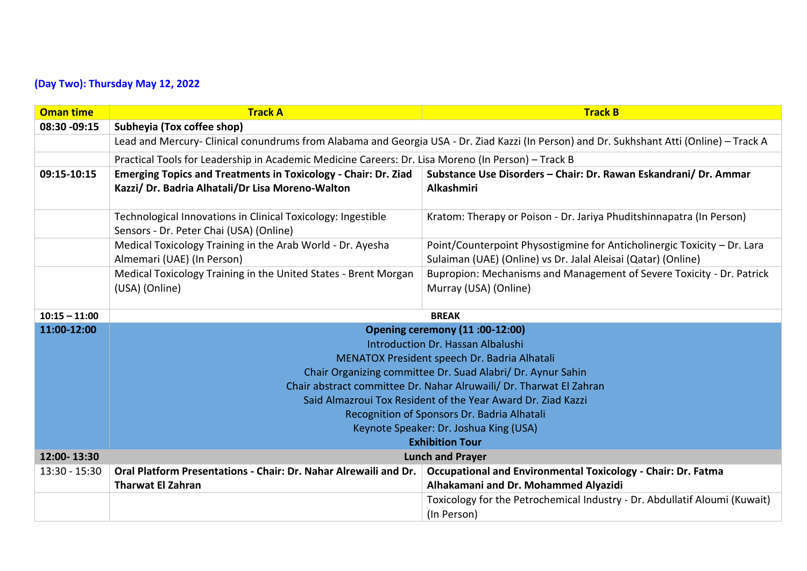## **(Day Two): Thursday May 12, 2022**

| <b>Oman time</b> | <b>Track A</b>                                                                                                                            | <b>Track B</b>                                                                                                                            |  |
|------------------|-------------------------------------------------------------------------------------------------------------------------------------------|-------------------------------------------------------------------------------------------------------------------------------------------|--|
| 08:30 -09:15     | Subheyia (Tox coffee shop)                                                                                                                |                                                                                                                                           |  |
|                  | Lead and Mercury- Clinical conundrums from Alabama and Georgia USA - Dr. Ziad Kazzi (In Person) and Dr. Sukhshant Atti (Online) - Track A |                                                                                                                                           |  |
|                  | Practical Tools for Leadership in Academic Medicine Careers: Dr. Lisa Moreno (In Person) - Track B                                        |                                                                                                                                           |  |
| 09:15-10:15      | <b>Emerging Topics and Treatments in Toxicology - Chair: Dr. Ziad</b><br>Kazzi/ Dr. Badria Alhatali/Dr Lisa Moreno-Walton                 | Substance Use Disorders - Chair: Dr. Rawan Eskandrani/ Dr. Ammar<br><b>Alkashmiri</b>                                                     |  |
|                  | Technological Innovations in Clinical Toxicology: Ingestible<br>Sensors - Dr. Peter Chai (USA) (Online)                                   | Kratom: Therapy or Poison - Dr. Jariya Phuditshinnapatra (In Person)                                                                      |  |
|                  | Medical Toxicology Training in the Arab World - Dr. Ayesha<br>Almemari (UAE) (In Person)                                                  | Point/Counterpoint Physostigmine for Anticholinergic Toxicity - Dr. Lara<br>Sulaiman (UAE) (Online) vs Dr. Jalal Aleisai (Qatar) (Online) |  |
|                  | Medical Toxicology Training in the United States - Brent Morgan<br>(USA) (Online)                                                         | Bupropion: Mechanisms and Management of Severe Toxicity - Dr. Patrick<br>Murray (USA) (Online)                                            |  |
| $10:15 - 11:00$  | <b>BREAK</b>                                                                                                                              |                                                                                                                                           |  |
| 11:00-12:00      | <b>Opening ceremony (11:00-12:00)</b>                                                                                                     |                                                                                                                                           |  |
|                  | <b>Introduction Dr. Hassan Albalushi</b>                                                                                                  |                                                                                                                                           |  |
|                  | MENATOX President speech Dr. Badria Alhatali                                                                                              |                                                                                                                                           |  |
|                  | Chair Organizing committee Dr. Suad Alabri/ Dr. Aynur Sahin                                                                               |                                                                                                                                           |  |
|                  | Chair abstract committee Dr. Nahar Alruwaili/ Dr. Tharwat El Zahran                                                                       |                                                                                                                                           |  |
|                  | Said Almazroui Tox Resident of the Year Award Dr. Ziad Kazzi                                                                              |                                                                                                                                           |  |
|                  | Recognition of Sponsors Dr. Badria Alhatali                                                                                               |                                                                                                                                           |  |
|                  | Keynote Speaker: Dr. Joshua King (USA)<br><b>Exhibition Tour</b>                                                                          |                                                                                                                                           |  |
| 12:00-13:30      | <b>Lunch and Prayer</b>                                                                                                                   |                                                                                                                                           |  |
| $13:30 - 15:30$  | Oral Platform Presentations - Chair: Dr. Nahar Alrewaili and Dr.                                                                          | <b>Occupational and Environmental Toxicology - Chair: Dr. Fatma</b>                                                                       |  |
|                  | <b>Tharwat El Zahran</b>                                                                                                                  | Alhakamani and Dr. Mohammed Alyazidi                                                                                                      |  |
|                  |                                                                                                                                           | Toxicology for the Petrochemical Industry - Dr. Abdullatif Aloumi (Kuwait)<br>(In Person)                                                 |  |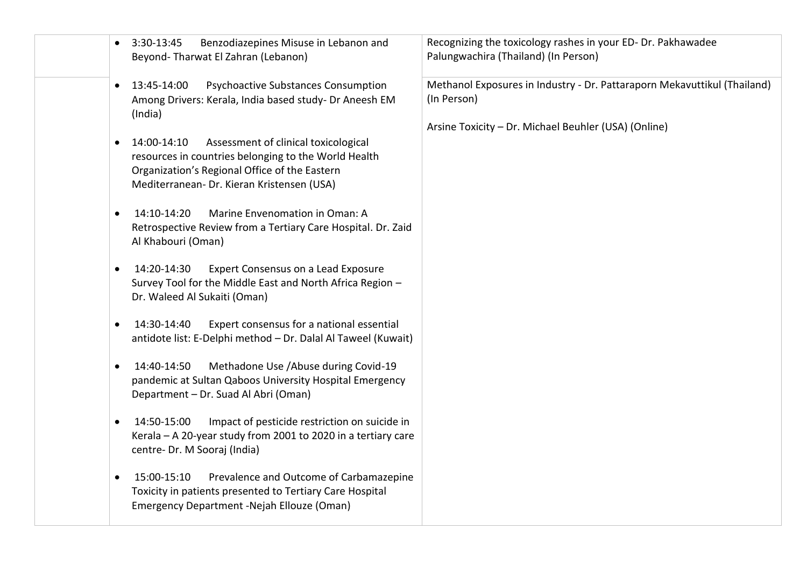| Benzodiazepines Misuse in Lebanon and<br>3:30-13:45<br>Beyond-Tharwat El Zahran (Lebanon)                                                                                                                  | Recognizing the toxicology rashes in your ED-Dr. Pakhawadee<br>Palungwachira (Thailand) (In Person)                                             |
|------------------------------------------------------------------------------------------------------------------------------------------------------------------------------------------------------------|-------------------------------------------------------------------------------------------------------------------------------------------------|
| <b>Psychoactive Substances Consumption</b><br>13:45-14:00<br>$\bullet$<br>Among Drivers: Kerala, India based study- Dr Aneesh EM<br>(India)                                                                | Methanol Exposures in Industry - Dr. Pattaraporn Mekavuttikul (Thailand)<br>(In Person)<br>Arsine Toxicity - Dr. Michael Beuhler (USA) (Online) |
| Assessment of clinical toxicological<br>14:00-14:10<br>resources in countries belonging to the World Health<br>Organization's Regional Office of the Eastern<br>Mediterranean- Dr. Kieran Kristensen (USA) |                                                                                                                                                 |
| 14:10-14:20<br>Marine Envenomation in Oman: A<br>$\bullet$<br>Retrospective Review from a Tertiary Care Hospital. Dr. Zaid<br>Al Khabouri (Oman)                                                           |                                                                                                                                                 |
| Expert Consensus on a Lead Exposure<br>14:20-14:30<br>Survey Tool for the Middle East and North Africa Region -<br>Dr. Waleed Al Sukaiti (Oman)                                                            |                                                                                                                                                 |
| Expert consensus for a national essential<br>14:30-14:40<br>antidote list: E-Delphi method - Dr. Dalal Al Taweel (Kuwait)                                                                                  |                                                                                                                                                 |
| Methadone Use / Abuse during Covid-19<br>14:40-14:50<br>pandemic at Sultan Qaboos University Hospital Emergency<br>Department - Dr. Suad Al Abri (Oman)                                                    |                                                                                                                                                 |
| 14:50-15:00<br>Impact of pesticide restriction on suicide in<br>$\bullet$<br>Kerala - A 20-year study from 2001 to 2020 in a tertiary care<br>centre- Dr. M Sooraj (India)                                 |                                                                                                                                                 |
| 15:00-15:10<br>Prevalence and Outcome of Carbamazepine<br>Toxicity in patients presented to Tertiary Care Hospital<br>Emergency Department -Nejah Ellouze (Oman)                                           |                                                                                                                                                 |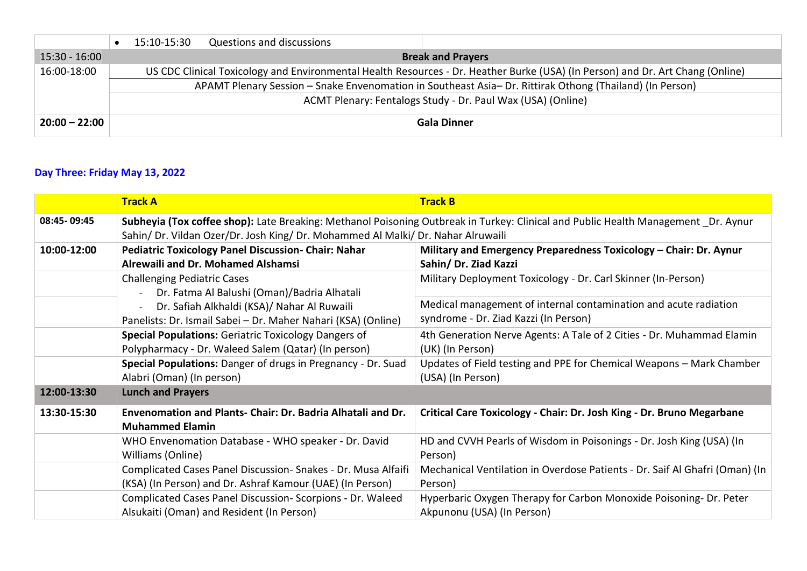|                 |                                                                                                          | 15:10-15:30 | <b>Questions and discussions</b> |                                                                                                                                |
|-----------------|----------------------------------------------------------------------------------------------------------|-------------|----------------------------------|--------------------------------------------------------------------------------------------------------------------------------|
| $15:30 - 16:00$ |                                                                                                          |             |                                  | <b>Break and Prayers</b>                                                                                                       |
| 16:00-18:00     |                                                                                                          |             |                                  | US CDC Clinical Toxicology and Environmental Health Resources - Dr. Heather Burke (USA) (In Person) and Dr. Art Chang (Online) |
|                 | APAMT Plenary Session - Snake Envenomation in Southeast Asia- Dr. Rittirak Othong (Thailand) (In Person) |             |                                  |                                                                                                                                |
|                 |                                                                                                          |             |                                  | ACMT Plenary: Fentalogs Study - Dr. Paul Wax (USA) (Online)                                                                    |
| $20:00 - 22:00$ |                                                                                                          |             |                                  | <b>Gala Dinner</b>                                                                                                             |

## **Day Three: Friday May 13, 2022**

|             | <b>Track A</b>                                                                                                                                                                                                         | <b>Track B</b>                                                                                            |  |
|-------------|------------------------------------------------------------------------------------------------------------------------------------------------------------------------------------------------------------------------|-----------------------------------------------------------------------------------------------------------|--|
| 08:45-09:45 | Subheyia (Tox coffee shop): Late Breaking: Methanol Poisoning Outbreak in Turkey: Clinical and Public Health Management _Dr. Aynur<br>Sahin/ Dr. Vildan Ozer/Dr. Josh King/ Dr. Mohammed Al Malki/ Dr. Nahar Alruwaili |                                                                                                           |  |
| 10:00-12:00 | <b>Pediatric Toxicology Panel Discussion- Chair: Nahar</b><br>Alrewaili and Dr. Mohamed Alshamsi                                                                                                                       | Military and Emergency Preparedness Toxicology - Chair: Dr. Aynur<br>Sahin/ Dr. Ziad Kazzi                |  |
|             | <b>Challenging Pediatric Cases</b><br>Dr. Fatma Al Balushi (Oman)/Badria Alhatali                                                                                                                                      | Military Deployment Toxicology - Dr. Carl Skinner (In-Person)                                             |  |
|             | Dr. Safiah Alkhaldi (KSA)/ Nahar Al Ruwaili<br>Panelists: Dr. Ismail Sabei - Dr. Maher Nahari (KSA) (Online)                                                                                                           | Medical management of internal contamination and acute radiation<br>syndrome - Dr. Ziad Kazzi (In Person) |  |
|             | <b>Special Populations: Geriatric Toxicology Dangers of</b><br>Polypharmacy - Dr. Waleed Salem (Qatar) (In person)                                                                                                     | 4th Generation Nerve Agents: A Tale of 2 Cities - Dr. Muhammad Elamin<br>(UK) (In Person)                 |  |
|             | Special Populations: Danger of drugs in Pregnancy - Dr. Suad<br>Alabri (Oman) (In person)                                                                                                                              | Updates of Field testing and PPE for Chemical Weapons - Mark Chamber<br>(USA) (In Person)                 |  |
| 12:00-13:30 | <b>Lunch and Prayers</b>                                                                                                                                                                                               |                                                                                                           |  |
| 13:30-15:30 | Envenomation and Plants- Chair: Dr. Badria Alhatali and Dr.<br><b>Muhammed Elamin</b>                                                                                                                                  | Critical Care Toxicology - Chair: Dr. Josh King - Dr. Bruno Megarbane                                     |  |
|             | WHO Envenomation Database - WHO speaker - Dr. David<br>Williams (Online)                                                                                                                                               | HD and CVVH Pearls of Wisdom in Poisonings - Dr. Josh King (USA) (In<br>Person)                           |  |
|             | Complicated Cases Panel Discussion-Snakes - Dr. Musa Alfaifi<br>(KSA) (In Person) and Dr. Ashraf Kamour (UAE) (In Person)                                                                                              | Mechanical Ventilation in Overdose Patients - Dr. Saif Al Ghafri (Oman) (In<br>Person)                    |  |
|             | Complicated Cases Panel Discussion- Scorpions - Dr. Waleed<br>Alsukaiti (Oman) and Resident (In Person)                                                                                                                | Hyperbaric Oxygen Therapy for Carbon Monoxide Poisoning- Dr. Peter<br>Akpunonu (USA) (In Person)          |  |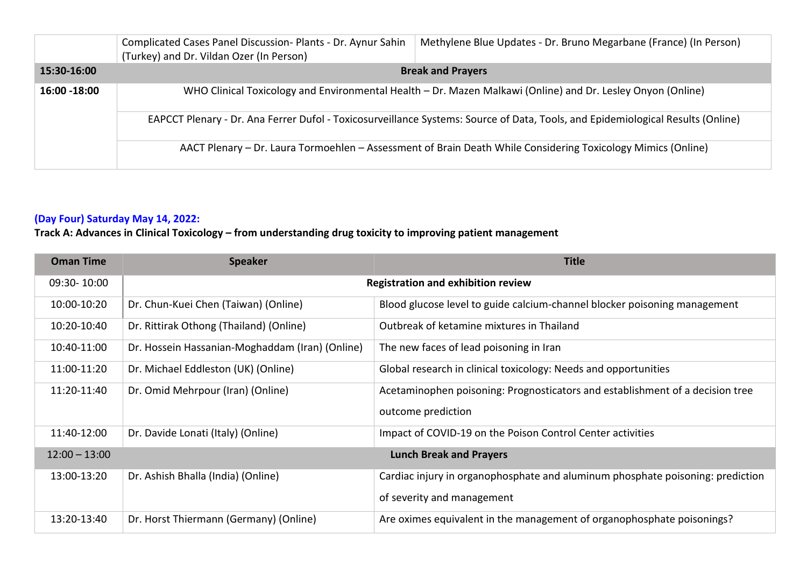|              | Complicated Cases Panel Discussion- Plants - Dr. Aynur Sahin<br>(Turkey) and Dr. Vildan Ozer (In Person)    | Methylene Blue Updates - Dr. Bruno Megarbane (France) (In Person)                                                               |
|--------------|-------------------------------------------------------------------------------------------------------------|---------------------------------------------------------------------------------------------------------------------------------|
| 15:30-16:00  |                                                                                                             | <b>Break and Prayers</b>                                                                                                        |
| 16:00 -18:00 | WHO Clinical Toxicology and Environmental Health - Dr. Mazen Malkawi (Online) and Dr. Lesley Onyon (Online) |                                                                                                                                 |
|              |                                                                                                             | EAPCCT Plenary - Dr. Ana Ferrer Dufol - Toxicosurveillance Systems: Source of Data, Tools, and Epidemiological Results (Online) |
|              |                                                                                                             | AACT Plenary - Dr. Laura Tormoehlen - Assessment of Brain Death While Considering Toxicology Mimics (Online)                    |

## **(Day Four) Saturday May 14, 2022:**

# **Track A: Advances in Clinical Toxicology – from understanding drug toxicity to improving patient management**

| <b>Oman Time</b> | <b>Speaker</b>                                  | <b>Title</b>                                                                   |
|------------------|-------------------------------------------------|--------------------------------------------------------------------------------|
| 09:30-10:00      | <b>Registration and exhibition review</b>       |                                                                                |
| 10:00-10:20      | Dr. Chun-Kuei Chen (Taiwan) (Online)            | Blood glucose level to guide calcium-channel blocker poisoning management      |
| 10:20-10:40      | Dr. Rittirak Othong (Thailand) (Online)         | Outbreak of ketamine mixtures in Thailand                                      |
| 10:40-11:00      | Dr. Hossein Hassanian-Moghaddam (Iran) (Online) | The new faces of lead poisoning in Iran                                        |
| 11:00-11:20      | Dr. Michael Eddleston (UK) (Online)             | Global research in clinical toxicology: Needs and opportunities                |
| 11:20-11:40      | Dr. Omid Mehrpour (Iran) (Online)               | Acetaminophen poisoning: Prognosticators and establishment of a decision tree  |
|                  |                                                 | outcome prediction                                                             |
| 11:40-12:00      | Dr. Davide Lonati (Italy) (Online)              | Impact of COVID-19 on the Poison Control Center activities                     |
| $12:00 - 13:00$  |                                                 | <b>Lunch Break and Prayers</b>                                                 |
| 13:00-13:20      | Dr. Ashish Bhalla (India) (Online)              | Cardiac injury in organophosphate and aluminum phosphate poisoning: prediction |
|                  |                                                 | of severity and management                                                     |
| 13:20-13:40      | Dr. Horst Thiermann (Germany) (Online)          | Are oximes equivalent in the management of organophosphate poisonings?         |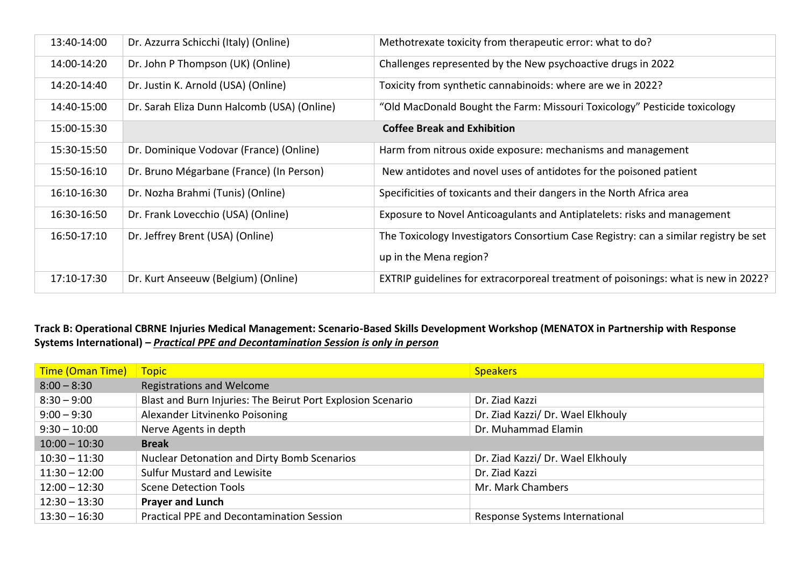| 13:40-14:00 | Dr. Azzurra Schicchi (Italy) (Online)       | Methotrexate toxicity from therapeutic error: what to do?                            |
|-------------|---------------------------------------------|--------------------------------------------------------------------------------------|
| 14:00-14:20 | Dr. John P Thompson (UK) (Online)           | Challenges represented by the New psychoactive drugs in 2022                         |
| 14:20-14:40 | Dr. Justin K. Arnold (USA) (Online)         | Toxicity from synthetic cannabinoids: where are we in 2022?                          |
| 14:40-15:00 | Dr. Sarah Eliza Dunn Halcomb (USA) (Online) | "Old MacDonald Bought the Farm: Missouri Toxicology" Pesticide toxicology            |
| 15:00-15:30 |                                             | <b>Coffee Break and Exhibition</b>                                                   |
| 15:30-15:50 | Dr. Dominique Vodovar (France) (Online)     | Harm from nitrous oxide exposure: mechanisms and management                          |
| 15:50-16:10 | Dr. Bruno Mégarbane (France) (In Person)    | New antidotes and novel uses of antidotes for the poisoned patient                   |
| 16:10-16:30 | Dr. Nozha Brahmi (Tunis) (Online)           | Specificities of toxicants and their dangers in the North Africa area                |
| 16:30-16:50 | Dr. Frank Lovecchio (USA) (Online)          | Exposure to Novel Anticoagulants and Antiplatelets: risks and management             |
| 16:50-17:10 | Dr. Jeffrey Brent (USA) (Online)            | The Toxicology Investigators Consortium Case Registry: can a similar registry be set |
|             |                                             | up in the Mena region?                                                               |
| 17:10-17:30 | Dr. Kurt Anseeuw (Belgium) (Online)         | EXTRIP guidelines for extracorporeal treatment of poisonings: what is new in 2022?   |

### **Track B: Operational CBRNE Injuries Medical Management: Scenario-Based Skills Development Workshop (MENATOX in Partnership with Response Systems International) –** *Practical PPE and Decontamination Session is only in person*

| Time (Oman Time) | <b>Topic</b>                                                | <b>Speakers</b>                   |
|------------------|-------------------------------------------------------------|-----------------------------------|
| $8:00 - 8:30$    | Registrations and Welcome                                   |                                   |
| $8:30 - 9:00$    | Blast and Burn Injuries: The Beirut Port Explosion Scenario | Dr. Ziad Kazzi                    |
| $9:00 - 9:30$    | Alexander Litvinenko Poisoning                              | Dr. Ziad Kazzi/ Dr. Wael Elkhouly |
| $9:30 - 10:00$   | Nerve Agents in depth                                       | Dr. Muhammad Elamin               |
| $10:00 - 10:30$  | <b>Break</b>                                                |                                   |
| $10:30 - 11:30$  | <b>Nuclear Detonation and Dirty Bomb Scenarios</b>          | Dr. Ziad Kazzi/ Dr. Wael Elkhouly |
| $11:30 - 12:00$  | <b>Sulfur Mustard and Lewisite</b>                          | Dr. Ziad Kazzi                    |
| $12:00 - 12:30$  | Scene Detection Tools                                       | Mr. Mark Chambers                 |
| $12:30 - 13:30$  | <b>Prayer and Lunch</b>                                     |                                   |
| $13:30 - 16:30$  | <b>Practical PPE and Decontamination Session</b>            | Response Systems International    |